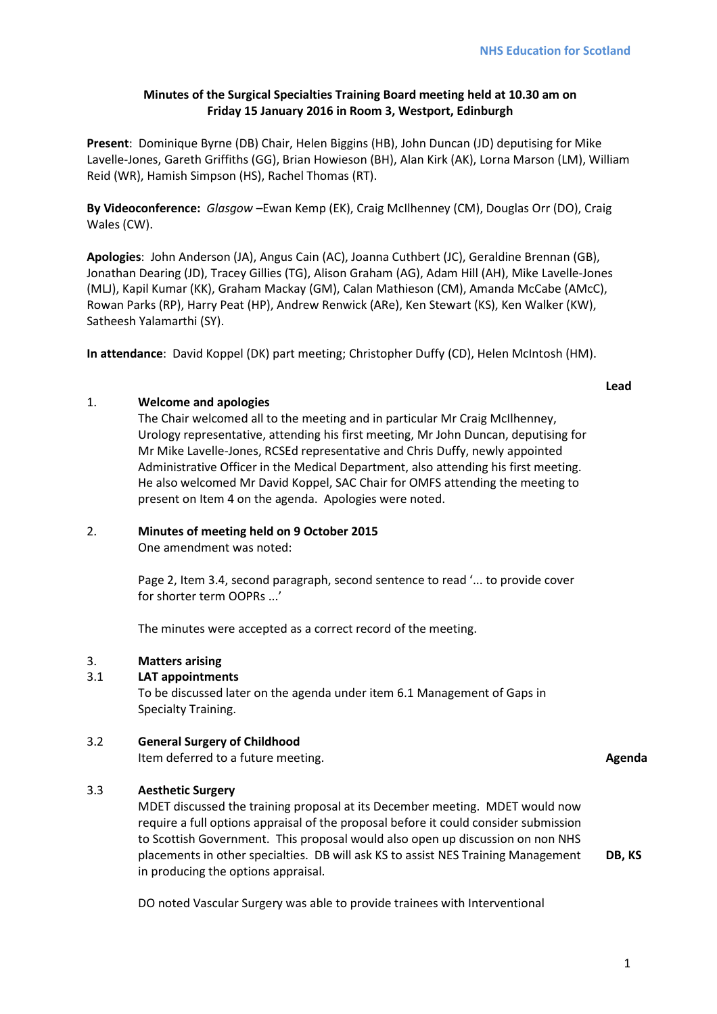## **Minutes of the Surgical Specialties Training Board meeting held at 10.30 am on Friday 15 January 2016 in Room 3, Westport, Edinburgh**

**Present**: Dominique Byrne (DB) Chair, Helen Biggins (HB), John Duncan (JD) deputising for Mike Lavelle-Jones, Gareth Griffiths (GG), Brian Howieson (BH), Alan Kirk (AK), Lorna Marson (LM), William Reid (WR), Hamish Simpson (HS), Rachel Thomas (RT).

**By Videoconference:** *Glasgow –*Ewan Kemp (EK), Craig McIlhenney (CM), Douglas Orr (DO), Craig Wales (CW).

**Apologies**: John Anderson (JA), Angus Cain (AC), Joanna Cuthbert (JC), Geraldine Brennan (GB), Jonathan Dearing (JD), Tracey Gillies (TG), Alison Graham (AG), Adam Hill (AH), Mike Lavelle-Jones (MLJ), Kapil Kumar (KK), Graham Mackay (GM), Calan Mathieson (CM), Amanda McCabe (AMcC), Rowan Parks (RP), Harry Peat (HP), Andrew Renwick (ARe), Ken Stewart (KS), Ken Walker (KW), Satheesh Yalamarthi (SY).

**In attendance**: David Koppel (DK) part meeting; Christopher Duffy (CD), Helen McIntosh (HM).

**Lead**

## 1. **Welcome and apologies**

The Chair welcomed all to the meeting and in particular Mr Craig McIlhenney, Urology representative, attending his first meeting, Mr John Duncan, deputising for Mr Mike Lavelle-Jones, RCSEd representative and Chris Duffy, newly appointed Administrative Officer in the Medical Department, also attending his first meeting. He also welcomed Mr David Koppel, SAC Chair for OMFS attending the meeting to present on Item 4 on the agenda. Apologies were noted.

## 2. **Minutes of meeting held on 9 October 2015**

One amendment was noted:

Page 2, Item 3.4, second paragraph, second sentence to read '... to provide cover for shorter term OOPRs ...'

The minutes were accepted as a correct record of the meeting.

## 3. **Matters arising**

## 3.1 **LAT appointments**

To be discussed later on the agenda under item 6.1 Management of Gaps in Specialty Training.

## 3.2 **General Surgery of Childhood**

Item deferred to a future meeting. **Agenda**

## 3.3 **Aesthetic Surgery**

MDET discussed the training proposal at its December meeting. MDET would now require a full options appraisal of the proposal before it could consider submission to Scottish Government. This proposal would also open up discussion on non NHS placements in other specialties. DB will ask KS to assist NES Training Management in producing the options appraisal.

DO noted Vascular Surgery was able to provide trainees with Interventional

**DB, KS**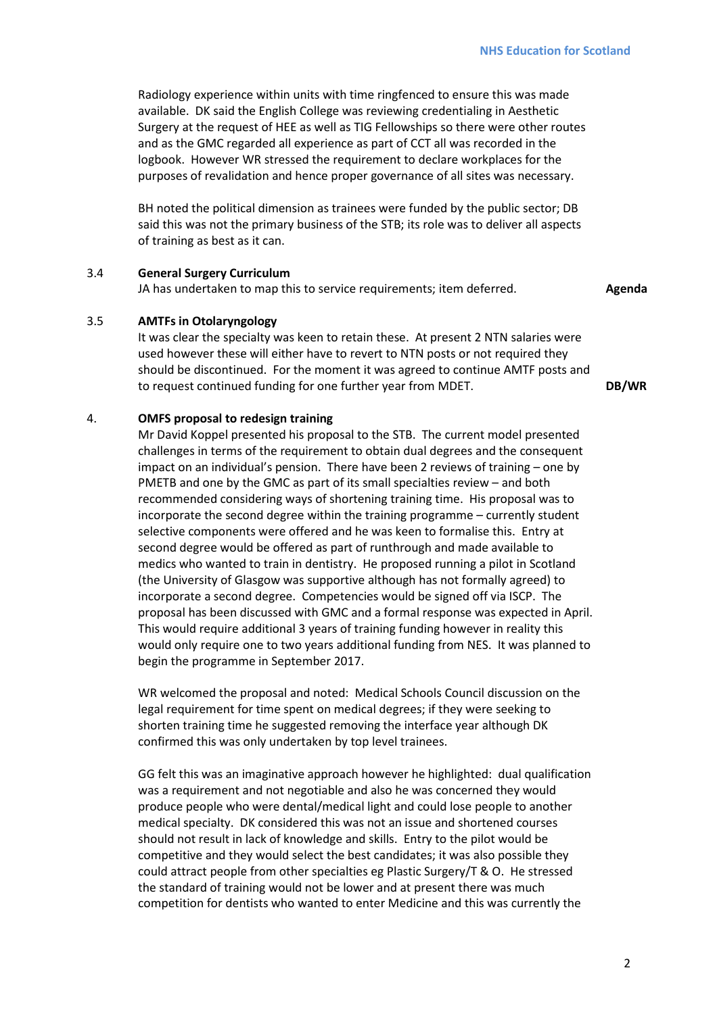Radiology experience within units with time ringfenced to ensure this was made available. DK said the English College was reviewing credentialing in Aesthetic Surgery at the request of HEE as well as TIG Fellowships so there were other routes and as the GMC regarded all experience as part of CCT all was recorded in the logbook. However WR stressed the requirement to declare workplaces for the purposes of revalidation and hence proper governance of all sites was necessary.

BH noted the political dimension as trainees were funded by the public sector; DB said this was not the primary business of the STB; its role was to deliver all aspects of training as best as it can.

#### 3.4 **General Surgery Curriculum**

JA has undertaken to map this to service requirements; item deferred. **Agenda**

#### 3.5 **AMTFs in Otolaryngology**

It was clear the specialty was keen to retain these. At present 2 NTN salaries were used however these will either have to revert to NTN posts or not required they should be discontinued. For the moment it was agreed to continue AMTF posts and to request continued funding for one further year from MDET. **DB/WR** 

#### 4. **OMFS proposal to redesign training**

Mr David Koppel presented his proposal to the STB. The current model presented challenges in terms of the requirement to obtain dual degrees and the consequent impact on an individual's pension. There have been 2 reviews of training – one by PMETB and one by the GMC as part of its small specialties review – and both recommended considering ways of shortening training time. His proposal was to incorporate the second degree within the training programme – currently student selective components were offered and he was keen to formalise this. Entry at second degree would be offered as part of runthrough and made available to medics who wanted to train in dentistry. He proposed running a pilot in Scotland (the University of Glasgow was supportive although has not formally agreed) to incorporate a second degree. Competencies would be signed off via ISCP. The proposal has been discussed with GMC and a formal response was expected in April. This would require additional 3 years of training funding however in reality this would only require one to two years additional funding from NES. It was planned to begin the programme in September 2017.

WR welcomed the proposal and noted: Medical Schools Council discussion on the legal requirement for time spent on medical degrees; if they were seeking to shorten training time he suggested removing the interface year although DK confirmed this was only undertaken by top level trainees.

GG felt this was an imaginative approach however he highlighted: dual qualification was a requirement and not negotiable and also he was concerned they would produce people who were dental/medical light and could lose people to another medical specialty. DK considered this was not an issue and shortened courses should not result in lack of knowledge and skills. Entry to the pilot would be competitive and they would select the best candidates; it was also possible they could attract people from other specialties eg Plastic Surgery/T & O. He stressed the standard of training would not be lower and at present there was much competition for dentists who wanted to enter Medicine and this was currently the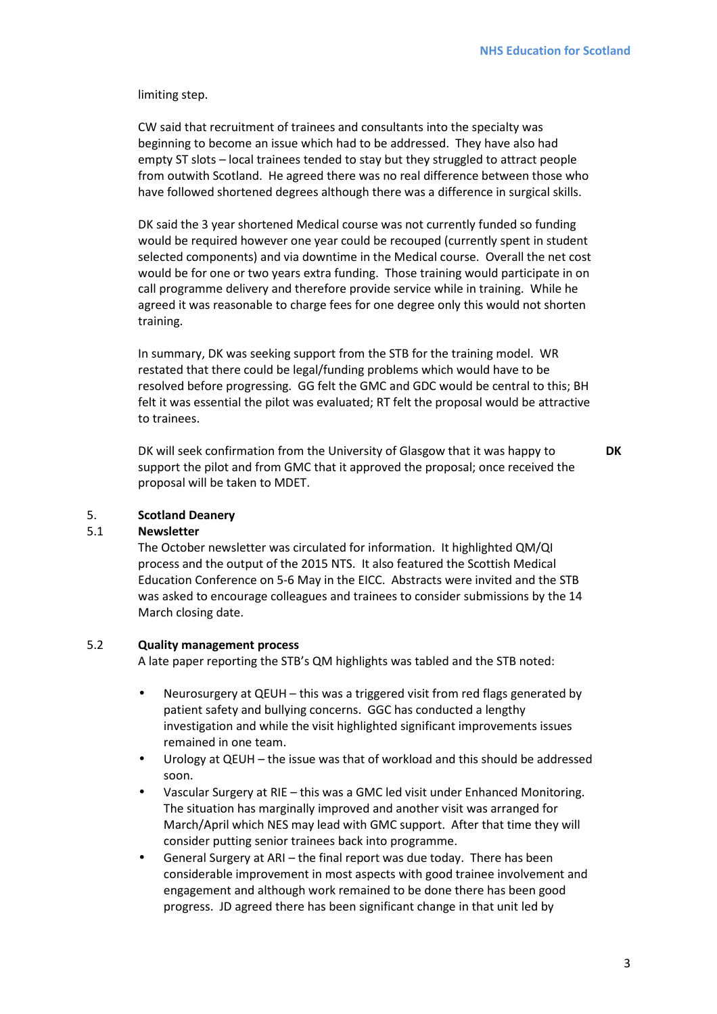limiting step.

CW said that recruitment of trainees and consultants into the specialty was beginning to become an issue which had to be addressed. They have also had empty ST slots – local trainees tended to stay but they struggled to attract people from outwith Scotland. He agreed there was no real difference between those who have followed shortened degrees although there was a difference in surgical skills.

DK said the 3 year shortened Medical course was not currently funded so funding would be required however one year could be recouped (currently spent in student selected components) and via downtime in the Medical course. Overall the net cost would be for one or two years extra funding. Those training would participate in on call programme delivery and therefore provide service while in training. While he agreed it was reasonable to charge fees for one degree only this would not shorten training.

In summary, DK was seeking support from the STB for the training model. WR restated that there could be legal/funding problems which would have to be resolved before progressing. GG felt the GMC and GDC would be central to this; BH felt it was essential the pilot was evaluated; RT felt the proposal would be attractive to trainees.

DK will seek confirmation from the University of Glasgow that it was happy to support the pilot and from GMC that it approved the proposal; once received the proposal will be taken to MDET.

**DK** 

#### 5. **Scotland Deanery**

#### 5.1 **Newsletter**

The October newsletter was circulated for information. It highlighted QM/QI process and the output of the 2015 NTS. It also featured the Scottish Medical Education Conference on 5-6 May in the EICC. Abstracts were invited and the STB was asked to encourage colleagues and trainees to consider submissions by the 14 March closing date.

#### 5.2 **Quality management process**

A late paper reporting the STB's QM highlights was tabled and the STB noted:

- Neurosurgery at QEUH this was a triggered visit from red flags generated by patient safety and bullying concerns. GGC has conducted a lengthy investigation and while the visit highlighted significant improvements issues remained in one team.
- Urology at QEUH the issue was that of workload and this should be addressed soon.
- Vascular Surgery at RIE this was a GMC led visit under Enhanced Monitoring. The situation has marginally improved and another visit was arranged for March/April which NES may lead with GMC support. After that time they will consider putting senior trainees back into programme.
- General Surgery at ARI the final report was due today. There has been considerable improvement in most aspects with good trainee involvement and engagement and although work remained to be done there has been good progress. JD agreed there has been significant change in that unit led by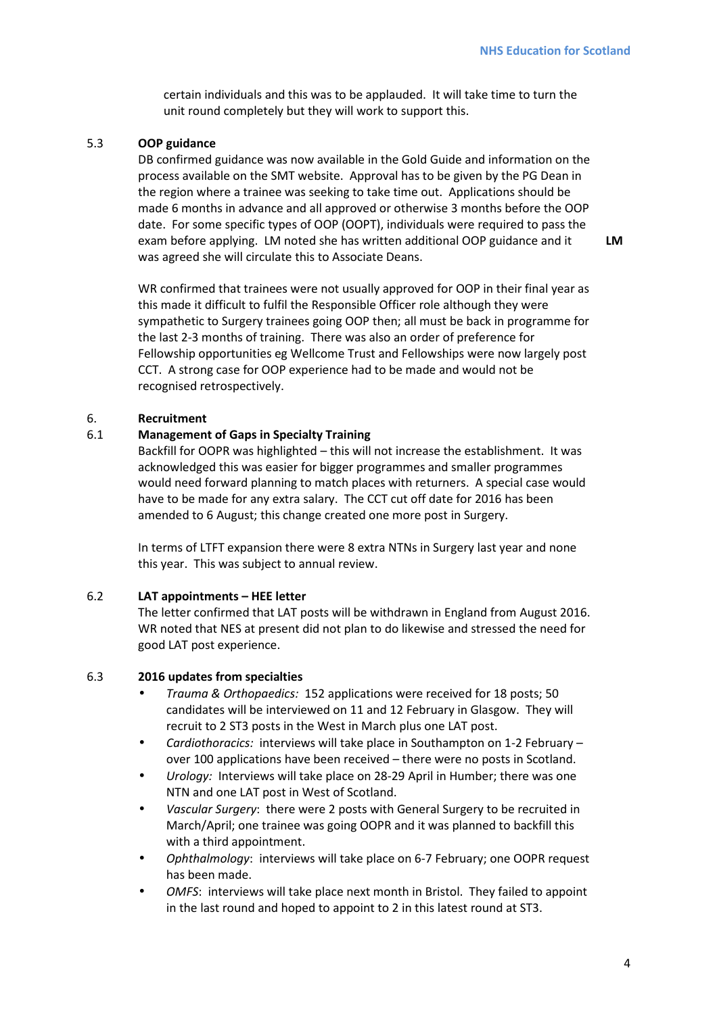**LM** 

certain individuals and this was to be applauded. It will take time to turn the unit round completely but they will work to support this.

#### 5.3 **OOP guidance**

DB confirmed guidance was now available in the Gold Guide and information on the process available on the SMT website. Approval has to be given by the PG Dean in the region where a trainee was seeking to take time out. Applications should be made 6 months in advance and all approved or otherwise 3 months before the OOP date. For some specific types of OOP (OOPT), individuals were required to pass the exam before applying. LM noted she has written additional OOP guidance and it was agreed she will circulate this to Associate Deans.

WR confirmed that trainees were not usually approved for OOP in their final year as this made it difficult to fulfil the Responsible Officer role although they were sympathetic to Surgery trainees going OOP then; all must be back in programme for the last 2-3 months of training. There was also an order of preference for Fellowship opportunities eg Wellcome Trust and Fellowships were now largely post CCT. A strong case for OOP experience had to be made and would not be recognised retrospectively.

## 6. **Recruitment**

#### 6.1 **Management of Gaps in Specialty Training**

Backfill for OOPR was highlighted – this will not increase the establishment. It was acknowledged this was easier for bigger programmes and smaller programmes would need forward planning to match places with returners. A special case would have to be made for any extra salary. The CCT cut off date for 2016 has been amended to 6 August; this change created one more post in Surgery.

In terms of LTFT expansion there were 8 extra NTNs in Surgery last year and none this year. This was subject to annual review.

#### 6.2 **LAT appointments – HEE letter**

The letter confirmed that LAT posts will be withdrawn in England from August 2016. WR noted that NES at present did not plan to do likewise and stressed the need for good LAT post experience.

#### 6.3 **2016 updates from specialties**

- *Trauma & Orthopaedics:* 152 applications were received for 18 posts; 50 candidates will be interviewed on 11 and 12 February in Glasgow. They will recruit to 2 ST3 posts in the West in March plus one LAT post.
- *Cardiothoracics:* interviews will take place in Southampton on 1-2 February over 100 applications have been received – there were no posts in Scotland.
- *Urology:* Interviews will take place on 28-29 April in Humber; there was one NTN and one LAT post in West of Scotland.
- *Vascular Surgery*: there were 2 posts with General Surgery to be recruited in March/April; one trainee was going OOPR and it was planned to backfill this with a third appointment.
- *Ophthalmology*:interviews will take place on 6-7 February; one OOPR request has been made.
- *OMFS*: interviews will take place next month in Bristol. They failed to appoint in the last round and hoped to appoint to 2 in this latest round at ST3.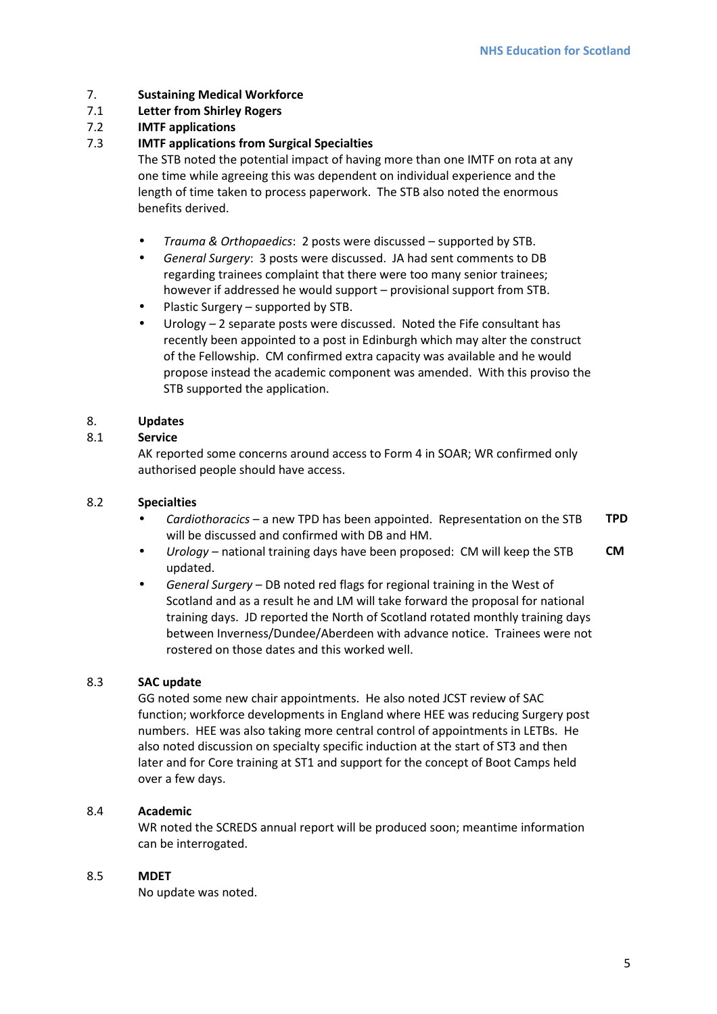## 7. **Sustaining Medical Workforce**

## 7.1 **Letter from Shirley Rogers**

## 7.2 **IMTF applications**

## 7.3 **IMTF applications from Surgical Specialties**

The STB noted the potential impact of having more than one IMTF on rota at any one time while agreeing this was dependent on individual experience and the length of time taken to process paperwork. The STB also noted the enormous benefits derived.

- *Trauma & Orthopaedics*: 2 posts were discussed supported by STB.
- *General Surgery*: 3 posts were discussed. JA had sent comments to DB regarding trainees complaint that there were too many senior trainees; however if addressed he would support – provisional support from STB.
- Plastic Surgery supported by STB.
- Urology  $-2$  separate posts were discussed. Noted the Fife consultant has recently been appointed to a post in Edinburgh which may alter the construct of the Fellowship. CM confirmed extra capacity was available and he would propose instead the academic component was amended. With this proviso the STB supported the application.

## 8. **Updates**

## 8.1 **Service**

AK reported some concerns around access to Form 4 in SOAR; WR confirmed only authorised people should have access.

## 8.2 **Specialties**

- *Cardiothoracics* a new TPD has been appointed. Representation on the STB will be discussed and confirmed with DB and HM. **TPD**
- *Urology* national training days have been proposed: CM will keep the STB updated. **CM**
- *General Surgery* DB noted red flags for regional training in the West of Scotland and as a result he and LM will take forward the proposal for national training days. JD reported the North of Scotland rotated monthly training days between Inverness/Dundee/Aberdeen with advance notice. Trainees were not rostered on those dates and this worked well.

## 8.3 **SAC update**

GG noted some new chair appointments. He also noted JCST review of SAC function; workforce developments in England where HEE was reducing Surgery post numbers. HEE was also taking more central control of appointments in LETBs. He also noted discussion on specialty specific induction at the start of ST3 and then later and for Core training at ST1 and support for the concept of Boot Camps held over a few days.

#### 8.4 **Academic**

WR noted the SCREDS annual report will be produced soon; meantime information can be interrogated.

#### 8.5 **MDET**

No update was noted.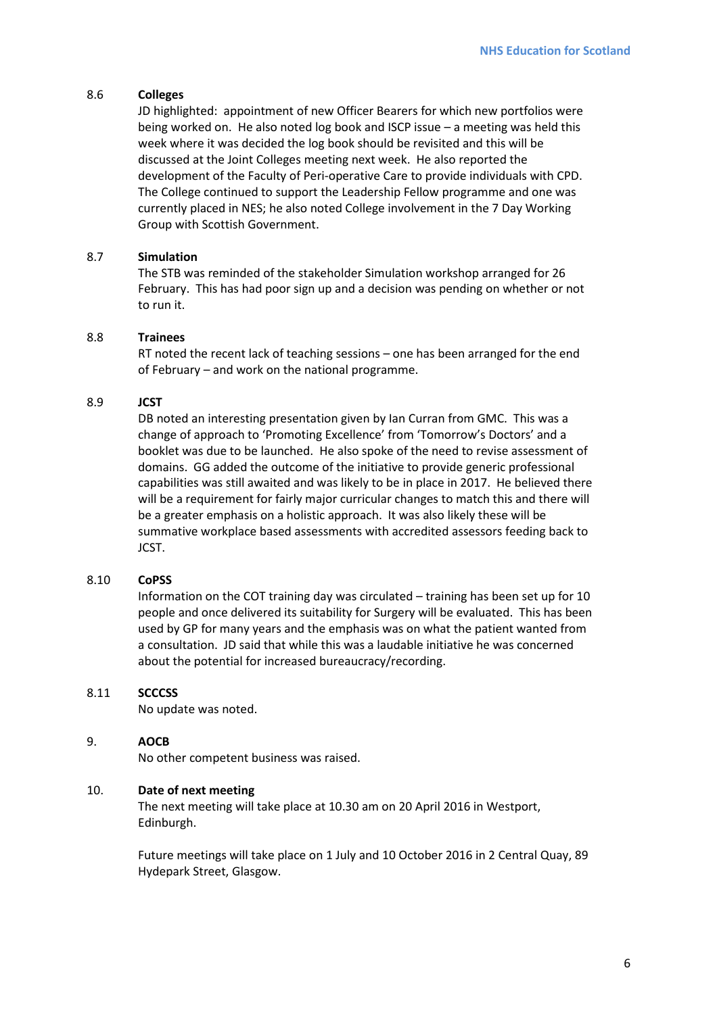### 8.6 **Colleges**

JD highlighted: appointment of new Officer Bearers for which new portfolios were being worked on. He also noted log book and ISCP issue – a meeting was held this week where it was decided the log book should be revisited and this will be discussed at the Joint Colleges meeting next week. He also reported the development of the Faculty of Peri-operative Care to provide individuals with CPD. The College continued to support the Leadership Fellow programme and one was currently placed in NES; he also noted College involvement in the 7 Day Working Group with Scottish Government.

## 8.7 **Simulation**

The STB was reminded of the stakeholder Simulation workshop arranged for 26 February. This has had poor sign up and a decision was pending on whether or not to run it.

## 8.8 **Trainees**

RT noted the recent lack of teaching sessions – one has been arranged for the end of February – and work on the national programme.

## 8.9 **JCST**

DB noted an interesting presentation given by Ian Curran from GMC. This was a change of approach to 'Promoting Excellence' from 'Tomorrow's Doctors' and a booklet was due to be launched. He also spoke of the need to revise assessment of domains. GG added the outcome of the initiative to provide generic professional capabilities was still awaited and was likely to be in place in 2017. He believed there will be a requirement for fairly major curricular changes to match this and there will be a greater emphasis on a holistic approach. It was also likely these will be summative workplace based assessments with accredited assessors feeding back to JCST.

#### 8.10 **CoPSS**

Information on the COT training day was circulated – training has been set up for 10 people and once delivered its suitability for Surgery will be evaluated. This has been used by GP for many years and the emphasis was on what the patient wanted from a consultation. JD said that while this was a laudable initiative he was concerned about the potential for increased bureaucracy/recording.

#### 8.11 **SCCCSS**

No update was noted.

#### 9. **AOCB**

No other competent business was raised.

#### 10. **Date of next meeting**

The next meeting will take place at 10.30 am on 20 April 2016 in Westport, Edinburgh.

Future meetings will take place on 1 July and 10 October 2016 in 2 Central Quay, 89 Hydepark Street, Glasgow.